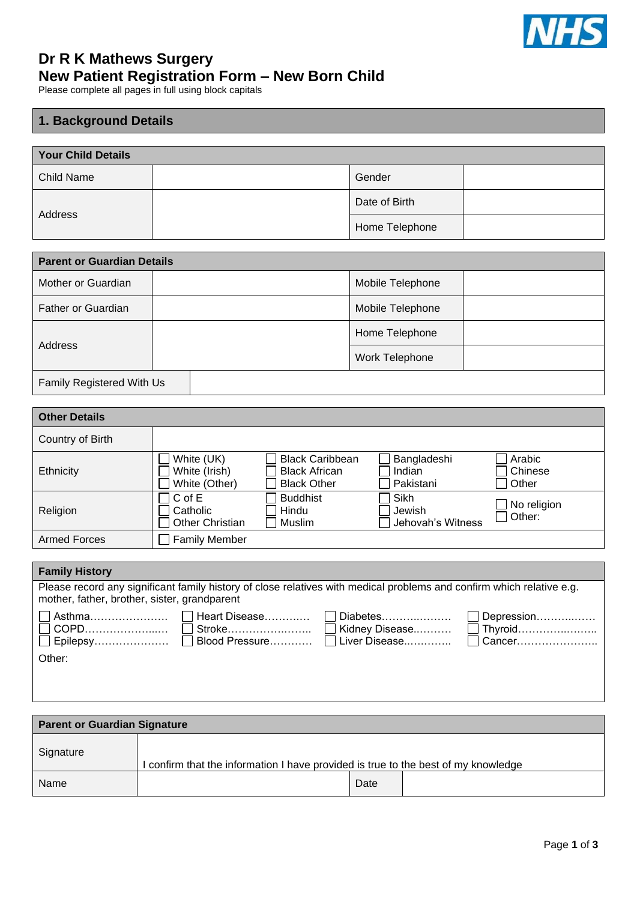

## **Dr R K Mathews Surgery New Patient Registration Form – New Born Child**

Please complete all pages in full using block capitals

## **1. Background Details**

| <b>Your Child Details</b> |  |                |  |
|---------------------------|--|----------------|--|
| <b>Child Name</b>         |  | Gender         |  |
| Address                   |  | Date of Birth  |  |
|                           |  | Home Telephone |  |

| <b>Parent or Guardian Details</b> |  |                  |  |  |
|-----------------------------------|--|------------------|--|--|
| Mother or Guardian                |  | Mobile Telephone |  |  |
| Father or Guardian                |  | Mobile Telephone |  |  |
| Address                           |  | Home Telephone   |  |  |
|                                   |  | Work Telephone   |  |  |
| Family Registered With Us         |  |                  |  |  |

| <b>Other Details</b> |                                                  |                                                                      |                                     |                                |
|----------------------|--------------------------------------------------|----------------------------------------------------------------------|-------------------------------------|--------------------------------|
| Country of Birth     |                                                  |                                                                      |                                     |                                |
| Ethnicity            | White (UK)<br>White (Irish)<br>White (Other)     | <b>Black Caribbean</b><br><b>Black African</b><br><b>Black Other</b> | Bangladeshi<br>Indian<br>Pakistani  | Arabic<br>Chinese<br>Other     |
| Religion             | $C$ of $E$<br>Catholic<br><b>Other Christian</b> | <b>Buddhist</b><br>Hindu<br>Muslim                                   | Sikh<br>Jewish<br>Jehovah's Witness | $\Box$ No religion<br>  Other: |
| <b>Armed Forces</b>  | <b>Family Member</b>                             |                                                                      |                                     |                                |

| <b>Family History</b>                                                                                                                                                 |  |  |  |  |
|-----------------------------------------------------------------------------------------------------------------------------------------------------------------------|--|--|--|--|
| Please record any significant family history of close relatives with medical problems and confirm which relative e.g.<br>mother, father, brother, sister, grandparent |  |  |  |  |
| Other:                                                                                                                                                                |  |  |  |  |

| <b>Parent or Guardian Signature</b> |                                                                                  |      |  |
|-------------------------------------|----------------------------------------------------------------------------------|------|--|
| Signature                           | confirm that the information I have provided is true to the best of my knowledge |      |  |
| <b>Name</b>                         |                                                                                  | Date |  |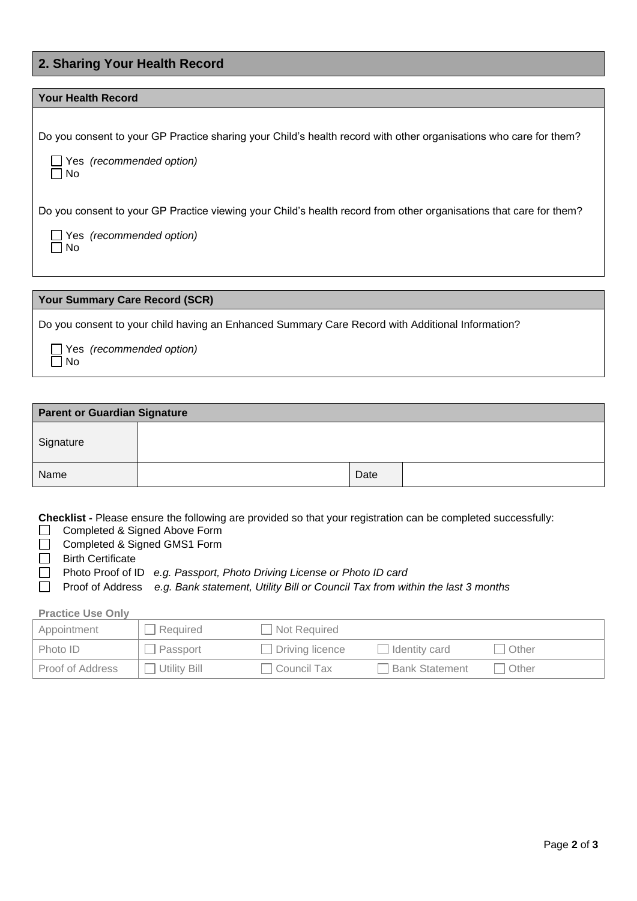## **2. Sharing Your Health Record**

#### **Your Health Record**

Do you consent to your GP Practice sharing your Child's health record with other organisations who care for them?

|           | $\Box$ Yes (recommended option) |
|-----------|---------------------------------|
| $\Box$ No |                                 |

Do you consent to your GP Practice viewing your Child's health record from other organisations that care for them?

|           | $\Box$ Yes (recommended option) |
|-----------|---------------------------------|
| $\Box$ No |                                 |

#### **Your Summary Care Record (SCR)**

Do you consent to your child having an Enhanced Summary Care Record with Additional Information?

 Yes *(recommended option)*  $\Box$  No

| <b>Parent or Guardian Signature</b> |  |      |  |
|-------------------------------------|--|------|--|
| Signature                           |  |      |  |
| Name                                |  | Date |  |

**Checklist -** Please ensure the following are provided so that your registration can be completed successfully:

- Completed & Signed Above Form  $\Box$
- □ Completed & Signed GMS1 Form
- $\Box$  Birth Certificate
- Photo Proof of ID *e.g. Passport, Photo Driving License or Photo ID card*

Proof of Address *e.g. Bank statement, Utility Bill or Council Tax from within the last 3 months*  $\Box$ 

#### **Practice Use Only**

| Appointment      | Required        | Not Required           |                  |       |
|------------------|-----------------|------------------------|------------------|-------|
| Photo ID         | $\Box$ Passport | $\Box$ Driving licence | Identity card    | Other |
| Proof of Address | Utility Bill    | Council Tax            | □ Bank Statement | Other |